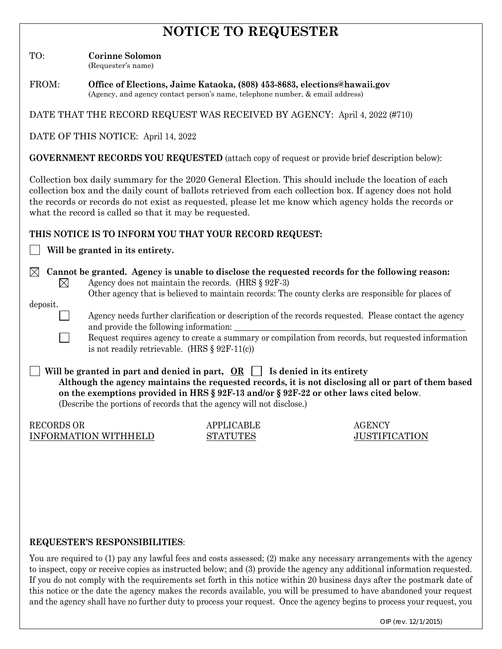# **NOTICE TO REQUESTER**

TO: **Corinne Solomon**

(Requester's name)

FROM: **Office of Elections, Jaime Kataoka, (808) 453-8683, elections@hawaii.gov** (Agency, and agency contact person's name, telephone number, & email address)

DATE THAT THE RECORD REQUEST WAS RECEIVED BY AGENCY: April 4, 2022 (#710)

DATE OF THIS NOTICE: April 14, 2022

**GOVERNMENT RECORDS YOU REQUESTED** (attach copy of request or provide brief description below):

Collection box daily summary for the 2020 General Election. This should include the location of each collection box and the daily count of ballots retrieved from each collection box. If agency does not hold the records or records do not exist as requested, please let me know which agency holds the records or what the record is called so that it may be requested.

### **THIS NOTICE IS TO INFORM YOU THAT YOUR RECORD REQUEST:**

**Will be granted in its entirety.**

 **Cannot be granted. Agency is unable to disclose the requested records for the following reason:** ⊠ Agency does not maintain the records. (HRS § 92F-3)

Other agency that is believed to maintain records: The county clerks are responsible for places of

deposit.

Agency needs further clarification or description of the records requested. Please contact the agency and provide the following information:

Request requires agency to create a summary or compilation from records, but requested information is not readily retrievable. (HRS § 92F-11(c))

Will be granted in part and denied in part,  $OR \Box$  Is denied in its entirety  **Although the agency maintains the requested records, it is not disclosing all or part of them based on the exemptions provided in HRS § 92F-13 and/or § 92F-22 or other laws cited below**. (Describe the portions of records that the agency will not disclose.)

RECORDS OR APPLICABLE AGENCY INFORMATION WITHHELD STATUTES JUSTIFICATION

### **REQUESTER'S RESPONSIBILITIES**:

You are required to (1) pay any lawful fees and costs assessed; (2) make any necessary arrangements with the agency to inspect, copy or receive copies as instructed below; and (3) provide the agency any additional information requested. If you do not comply with the requirements set forth in this notice within 20 business days after the postmark date of this notice or the date the agency makes the records available, you will be presumed to have abandoned your request and the agency shall have no further duty to process your request. Once the agency begins to process your request, you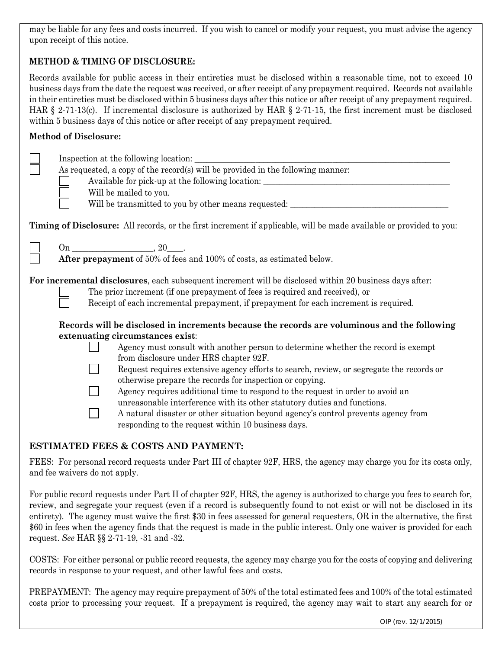may be liable for any fees and costs incurred. If you wish to cancel or modify your request, you must advise the agency upon receipt of this notice.

## **METHOD & TIMING OF DISCLOSURE:**

Records available for public access in their entireties must be disclosed within a reasonable time, not to exceed 10 business days from the date the request was received, or after receipt of any prepayment required. Records not available in their entireties must be disclosed within 5 business days after this notice or after receipt of any prepayment required. HAR § 2-71-13(c). If incremental disclosure is authorized by HAR § 2-71-15, the first increment must be disclosed within 5 business days of this notice or after receipt of any prepayment required.

#### **Method of Disclosure:**

| As requested, a copy of the record(s) will be provided in the following manner:<br>Available for pick-up at the following location: ________________________________<br>Will be mailed to you.<br>Will be transmitted to you by other means requested: ___________________________                                                                                                                                                                                                                                                                  |
|-----------------------------------------------------------------------------------------------------------------------------------------------------------------------------------------------------------------------------------------------------------------------------------------------------------------------------------------------------------------------------------------------------------------------------------------------------------------------------------------------------------------------------------------------------|
| Timing of Disclosure: All records, or the first increment if applicable, will be made available or provided to you:                                                                                                                                                                                                                                                                                                                                                                                                                                 |
| $\frac{100}{\text{After prepayment of 50\% of fees and 100\% of costs, as estimated below.}}$                                                                                                                                                                                                                                                                                                                                                                                                                                                       |
| For incremental disclosures, each subsequent increment will be disclosed within 20 business days after:<br>The prior increment (if one prepayment of fees is required and received), or<br>Receipt of each incremental prepayment, if prepayment for each increment is required.<br>Records will be disclosed in increments because the records are voluminous and the following<br>extenuating circumstances exist:<br>Agency must consult with another person to determine whether the record is exempt<br>from disclosure under HRS chapter 92F. |
| Request requires extensive agency efforts to search, review, or segregate the records or<br>otherwise prepare the records for inspection or copying.<br>Agency requires additional time to respond to the request in order to avoid an<br>unreasonable interference with its other statutory duties and functions.<br>A natural disaster or other situation beyond agency's control prevents agency from<br>responding to the request within 10 business days.                                                                                      |
| <b>ESTIMATED FEES &amp; COSTS AND PAYMENT:</b>                                                                                                                                                                                                                                                                                                                                                                                                                                                                                                      |

FEES: For personal record requests under Part III of chapter 92F, HRS, the agency may charge you for its costs only, and fee waivers do not apply.

For public record requests under Part II of chapter 92F, HRS, the agency is authorized to charge you fees to search for, review, and segregate your request (even if a record is subsequently found to not exist or will not be disclosed in its entirety). The agency must waive the first \$30 in fees assessed for general requesters, OR in the alternative, the first \$60 in fees when the agency finds that the request is made in the public interest. Only one waiver is provided for each request. *See* HAR §§ 2-71-19, -31 and -32.

COSTS: For either personal or public record requests, the agency may charge you for the costs of copying and delivering records in response to your request, and other lawful fees and costs.

PREPAYMENT: The agency may require prepayment of 50% of the total estimated fees and 100% of the total estimated costs prior to processing your request. If a prepayment is required, the agency may wait to start any search for or